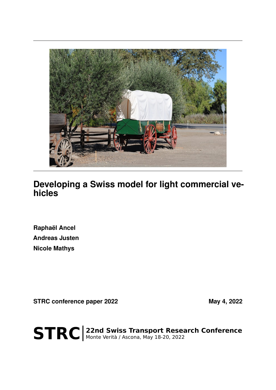

# **Developing a Swiss model for light commercial vehicles**

**Raphaël Ancel Andreas Justen Nicole Mathys**

STRC conference paper 2022 May 4, 2022

STRC | 22nd Swiss Transport Research Conference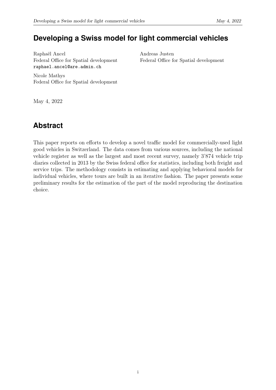## **Developing a Swiss model for light commercial vehicles**

Raphaël Ancel Federal Office for Spatial development raphael.ancel@are.admin.ch

Andreas Justen Federal Office for Spatial development

Nicole Mathys Federal Office for Spatial development

May 4, 2022

# **Abstract**

This paper reports on efforts to develop a novel traffic model for commercially-used light good vehicles in Switzerland. The data comes from various sources, including the national vehicle register as well as the largest and most recent survey, namely 3'874 vehicle trip diaries collected in 2013 by the Swiss federal office for statistics, including both freight and service trips. The methodology consists in estimating and applying behavioral models for individual vehicles, where tours are built in an iterative fashion. The paper presents some preliminary results for the estimation of the part of the model reproducing the destination choice.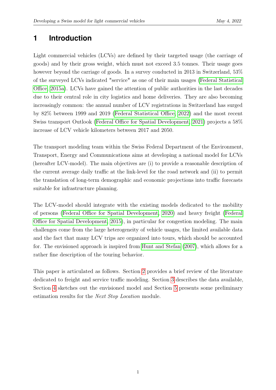### **1 Introduction**

Light commercial vehicles (LCVs) are defined by their targeted usage (the carriage of goods) and by their gross weight, which must not exceed 3.5 tonnes. Their usage goes however beyond the carriage of goods. In a survey conducted in 2013 in Switzerland, 53% of the surveyed LCVs indicated "service" as one of their main usages [\(Federal Statistical](#page-15-0) [Office, 2015a\)](#page-15-0). LCVs have gained the attention of public authorities in the last decades due to their central role in city logistics and home deliveries. They are also becoming increasingly common: the annual number of LCV registrations in Switzerland has surged by 82% between 1999 and 2019 [\(Federal Statistical Office, 2022\)](#page-15-1) and the most recent Swiss transport Outlook [\(Federal Office for Spatial Development, 2021\)](#page-15-2) projects a 58% increase of LCV vehicle kilometers between 2017 and 2050.

The transport modeling team within the Swiss Federal Department of the Environment, Transport, Energy and Communications aims at developing a national model for LCVs (hereafter LCV-model). The main objectives are (i) to provide a reasonable description of the current average daily traffic at the link-level for the road network and (ii) to permit the translation of long-term demographic and economic projections into traffic forecasts suitable for infrastructure planning.

The LCV-model should integrate with the existing models dedicated to the mobility of persons [\(Federal Office for Spatial Development, 2020\)](#page-15-3) and heavy freight [\(Federal](#page-15-4) [Office for Spatial Development, 2015\)](#page-15-4), in particular for congestion modeling. The main challenges come from the large heterogeneity of vehicle usages, the limited available data and the fact that many LCV trips are organized into tours, which should be accounted for. The envisioned approach is inspired from [Hunt and Stefan](#page-16-0) [\(2007\)](#page-16-0), which allows for a rather fine description of the touring behavior.

This paper is articulated as follows. Section [2](#page-3-0) provides a brief review of the literature dedicated to freight and service traffic modeling. Section [3](#page-5-0) describes the data available, Section [4](#page-7-0) sketches out the envisioned model and Section [5](#page-12-0) presents some preliminary estimation results for the Next Stop Location module.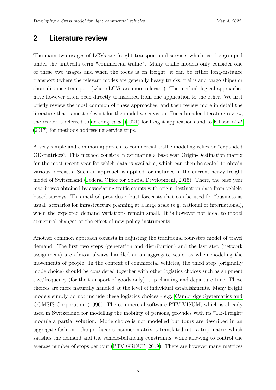### <span id="page-3-0"></span>**2 Literature review**

The main two usages of LCVs are freight transport and service, which can be grouped under the umbrella term "commercial traffic". Many traffic models only consider one of these two usages and when the focus is on freight, it can be either long-distance transport (where the relevant modes are generally heavy trucks, trains and cargo ships) or short-distance transport (where LCVs are more relevant). The methodological approaches have however often been directly transferred from one application to the other. We first briefly review the most common of these approaches, and then review more in detail the literature that is most relevant for the model we envision. For a broader literature review, the reader is referred to [de Jong](#page-15-5) *et al.* [\(2021\)](#page-15-5) for freight applications and to [Ellison](#page-15-6) *et al.* [\(2017\)](#page-15-6) for methods addressing service trips.

A very simple and common approach to commercial traffic modeling relies on "expanded OD-matrices". This method consists in estimating a base year Origin-Destination matrix for the most recent year for which data is available, which can then be scaled to obtain various forecasts. Such an approach is applied for instance in the current heavy freight model of Switzerland [\(Federal Office for Spatial Development, 2015\)](#page-15-4). There, the base year matrix was obtained by associating traffic counts with origin-destination data from vehiclebased surveys. This method provides robust forecasts that can be used for "business as usual" scenarios for infrastructure planning at a large scale (e.g. national or international), when the expected demand variations remain small. It is however not ideal to model structural changes or the effect of new policy instruments.

Another common approach consists in adjusting the traditional four-step model of travel demand. The first two steps (generation and distribution) and the last step (network assignment) are almost always handled at an aggregate scale, as when modeling the movements of people. In the context of commercial vehicles, the third step (originally mode choice) should be considered together with other logistics choices such as shipment size/frequency (for the transport of goods only), trip-chaining and departure time. These choices are more naturally handled at the level of individual establishments. Many freight models simply do not include these logistics choices - e.g. [Cambridge Systematics and](#page-14-0) [COMSIS Corporation](#page-14-0) [\(1996\)](#page-14-0). The commercial software PTV-VISUM, which is already used in Switzerland for modelling the mobility of persons, provides with its "TB-Freight" module a partial solution. Mode choice is not modelled but tours are described in an aggregate fashion : the producer-consumer matrix is translated into a trip matrix which satisfies the demand and the vehicle-balancing constraints, while allowing to control the average number of stops per tour [\(PTV GROUP, 2019\)](#page-16-1). There are however many matrices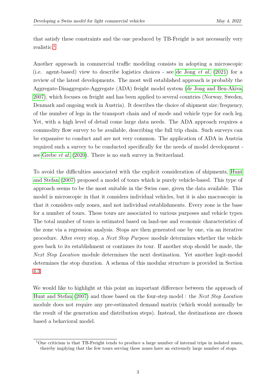that satisfy these constraints and the one produced by TB-Freight is not necessarily very realistic.[1](#page-4-0)

Another approach in commercial traffic modeling consists in adopting a microscopic (i.e. agent-based) view to describe logistics choices - see [de Jong](#page-15-5) et al. [\(2021\)](#page-15-5) for a review of the latest developments. The most well established approach is probably the Aggregate-Disaggregate-Aggregate (ADA) freight model system [\(de Jong and Ben-Akiva,](#page-15-7) [2007\)](#page-15-7), which focuses on freight and has been applied to several countries (Norway, Sweden, Denmark and ongoing work in Austria). It describes the choice of shipment size/frequency, of the number of legs in the transport chain and of mode and vehicle type for each leg. Yet, with a high level of detail come large data needs. The ADA approach requires a commodity flow survey to be available, describing the full trip chain. Such surveys can be expansive to conduct and are not very common. The application of ADA in Austria required such a survey to be conducted specifically for the needs of model development see [Grebe](#page-15-8) et al. [\(2020\)](#page-15-8). There is no such survey in Switzerland.

To avoid the difficulties associated with the explicit consideration of shipments, [Hunt](#page-16-0) [and Stefan](#page-16-0) [\(2007\)](#page-16-0) proposed a model of tours which is purely vehicle-based. This type of approach seems to be the most suitable in the Swiss case, given the data available. This model is microscopic in that it considers individual vehicles, but it is also macroscopic in that it considers only zones, and not individual establishments. Every zone is the base for a number of tours. These tours are associated to various purposes and vehicle types. The total number of tours is estimated based on land-use and economic characteristics of the zone via a regression analysis. Stops are then generated one by one, via an iterative procedure. After every stop, a Next Stop Purpose module determines whether the vehicle goes back to its establishment or continues its tour. If another stop should be made, the Next Stop Location module determines the next destination. Yet another logit-model determines the stop duration. A schema of this modular structure is provided in Section [4.3.](#page-9-0)

We would like to highlight at this point an important difference between the approach of [Hunt and Stefan](#page-16-0) [\(2007\)](#page-16-0) and those based on the four-step model : the Next Stop Location module does not require any pre-estimated demand matrix (which would normally be the result of the generation and distribution steps). Instead, the destinations are chosen based a behavioral model.

<span id="page-4-0"></span><sup>&</sup>lt;sup>1</sup>One criticism is that TB-Freight tends to produce a large number of internal trips in isolated zones, thereby implying that the few tours serving these zones have an extremely large number of stops.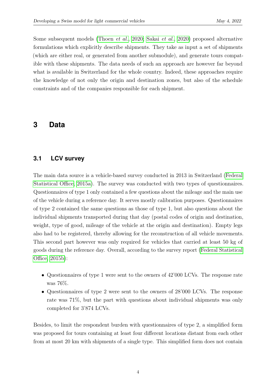Some subsequent models [\(Thoen](#page-16-2) et al., [2020;](#page-16-2) [Sakai](#page-16-3) et al., [2020\)](#page-16-3) proposed alternative formulations which explicitly describe shipments. They take as input a set of shipments (which are either real, or generated from another submodule), and generate tours compatible with these shipments. The data needs of such an approach are however far beyond what is available in Switzerland for the whole country. Indeed, these approaches require the knowledge of not only the origin and destination zones, but also of the schedule constraints and of the companies responsible for each shipment.

### <span id="page-5-1"></span><span id="page-5-0"></span>**3 Data**

### **3.1 LCV survey**

The main data source is a vehicle-based survey conducted in 2013 in Switzerland [\(Federal](#page-15-0) [Statistical Office, 2015a\)](#page-15-0). The survey was conducted with two types of questionnaires. Questionnaires of type 1 only contained a few questions about the mileage and the main use of the vehicle during a reference day. It serves mostly calibration purposes. Questionnaires of type 2 contained the same questions as those of type 1, but also questions about the individual shipments transported during that day (postal codes of origin and destination, weight, type of good, mileage of the vehicle at the origin and destination). Empty legs also had to be registered, thereby allowing for the reconstruction of all vehicle movements. This second part however was only required for vehicles that carried at least 50 kg of goods during the reference day. Overall, according to the survey report [\(Federal Statistical](#page-15-9) [Office, 2015b\)](#page-15-9):

- Questionnaires of type 1 were sent to the owners of 42'000 LCVs. The response rate was 76%.
- Questionnaires of type 2 were sent to the owners of 28'000 LCVs. The response rate was 71%, but the part with questions about individual shipments was only completed for 3'874 LCVs.

Besides, to limit the respondent burden with questionnaires of type 2, a simplified form was proposed for tours containing at least four different locations distant from each other from at most 20 km with shipments of a single type. This simplified form does not contain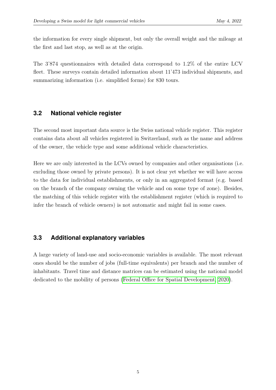the information for every single shipment, but only the overall weight and the mileage at the first and last stop, as well as at the origin.

<span id="page-6-0"></span>The 3'874 questionnaires with detailed data correspond to 1.2% of the entire LCV fleet. These surveys contain detailed information about 11'473 individual shipments, and summarizing information (i.e. simplified forms) for 830 tours.

#### **3.2 National vehicle register**

The second most important data source is the Swiss national vehicle register. This register contains data about all vehicles registered in Switzerland, such as the name and address of the owner, the vehicle type and some additional vehicle characteristics.

Here we are only interested in the LCVs owned by companies and other organisations (i.e. excluding those owned by private persons). It is not clear yet whether we will have access to the data for individual establishments, or only in an aggregated format (e.g. based on the branch of the company owning the vehicle and on some type of zone). Besides, the matching of this vehicle register with the establishment register (which is required to infer the branch of vehicle owners) is not automatic and might fail in some cases.

#### **3.3 Additional explanatory variables**

A large variety of land-use and socio-economic variables is available. The most relevant ones should be the number of jobs (full-time equivalents) per branch and the number of inhabitants. Travel time and distance matrices can be estimated using the national model dedicated to the mobility of persons [\(Federal Office for Spatial Development, 2020\)](#page-15-3).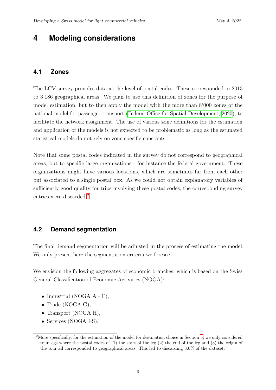### <span id="page-7-0"></span>**4 Modeling considerations**

### **4.1 Zones**

The LCV survey provides data at the level of postal codes. These corresponded in 2013 to 3'186 geographical areas. We plan to use this definition of zones for the purpose of model estimation, but to then apply the model with the more than 8'000 zones of the national model for passenger transport [\(Federal Office for Spatial Development, 2020\)](#page-15-3), to facilitate the network assignment. The use of various zone definitions for the estimation and application of the models is not expected to be problematic as long as the estimated statistical models do not rely on zone-specific constants.

Note that some postal codes indicated in the survey do not correspond to geographical areas, but to specific large organisations - for instance the federal government. These organizations might have various locations, which are sometimes far from each other but associated to a single postal box. As we could not obtain explanatory variables of sufficiently good quality for trips involving these postal codes, the corresponding survey entries were discarded.<sup>[2](#page-7-1)</sup>

### <span id="page-7-2"></span>**4.2 Demand segmentation**

The final demand segmentation will be adjusted in the process of estimating the model. We only present here the segmentation criteria we foresee.

We envision the following aggregates of economic branches, which is based on the Swiss General Classification of Economic Activities (NOGA):

- Industrial (NOGA  $A F$ ),
- Trade (NOGA G),
- Transport (NOGA H),
- Services (NOGA I-S).

<span id="page-7-1"></span><sup>2</sup>More specifically, for the estimation of the model for destination choice in Section [5,](#page-12-0) we only considered tour legs where the postal codes of  $(1)$  the start of the leg  $(2)$  the end of the leg and  $(3)$  the origin of the tour all corresponded to geographical areas. This led to discarding 8.6% of the dataset.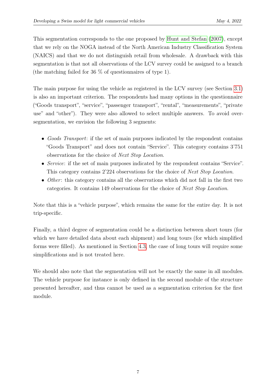This segmentation corresponds to the one proposed by [Hunt and Stefan](#page-16-0) [\(2007\)](#page-16-0), except that we rely on the NOGA instead of the North American Industry Classification System (NAICS) and that we do not distinguish retail from wholesale. A drawback with this segmentation is that not all observations of the LCV survey could be assigned to a branch (the matching failed for 36 % of questionnaires of type 1).

The main purpose for using the vehicle as registered in the LCV survey (see Section [3.1\)](#page-5-1) is also an important criterion. The respondents had many options in the questionnaire ("Goods transport", "service", "passenger transport", "rental", "measurements", "private use" and "other"). They were also allowed to select multiple answers. To avoid oversegmentation, we envision the following 3 segments:

- Goods Transport: if the set of main purposes indicated by the respondent contains "Goods Transport" and does not contain "Service". This category contains 3'751 observations for the choice of Next Stop Location.
- Service: if the set of main purposes indicated by the respondent contains "Service". This category contains 2'224 observations for the choice of *Next Stop Location*.
- Other: this category contains all the observations which did not fall in the first two categories. It contains 149 observations for the choice of Next Stop Location.

Note that this is a "vehicle purpose", which remains the same for the entire day. It is not trip-specific.

Finally, a third degree of segmentation could be a distinction between short tours (for which we have detailed data about each shipment) and long tours (for which simplified forms were filled). As mentioned in Section [4.3,](#page-9-0) the case of long tours will require some simplifications and is not treated here.

We should also note that the segmentation will not be exactly the same in all modules. The vehicle purpose for instance is only defined in the second module of the structure presented hereafter, and thus cannot be used as a segmentation criterion for the first module.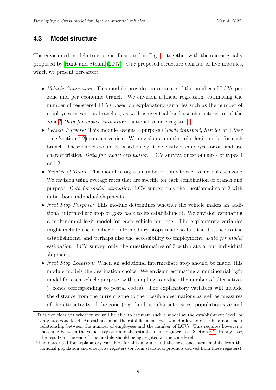### <span id="page-9-0"></span>**4.3 Model structure**

The envisioned model structure is illustrated in Fig. [1,](#page-10-0) together with the one originally proposed by [Hunt and Stefan](#page-16-0) [\(2007\)](#page-16-0). Our proposed structure consists of five modules, which we present hereafter:

- *Vehicle Generation*: This module provides an estimate of the number of LCVs per zone and per economic branch. We envision a linear regression, estimating the number of registered LCVs based on explanatory variables such as the number of employees in various branches, as well as eventual land-use characteristics of the zone.<sup>[3](#page-9-1)</sup> Data for model estimation: national vehicle register.<sup>[4](#page-9-2)</sup>
- Vehicle Purpose: This module assigns a purpose (Goods transport, Service or Other - see Section [4.2\)](#page-7-2) to each vehicle. We envision a multinomial logit model for each branch. These models would be based on e.g. the density of employees or on land-use characteristics. Data for model estimation: LCV survey, questionnaires of types 1 and 2.
- *Number of Tours:* This module assigns a number of tours to each vehicle of each zone. We envision using average rates that are specific for each combination of branch and purpose. Data for model estimation: LCV survey, only the questionnaires of 2 with data about individual shipments.
- *Next Stop Purpose:* This module determines whether the vehicle makes an additional intermediate stop or goes back to its establishment. We envision estimating a multinomial logit model for each vehicle purpose. The explanatory variables might include the number of intermediary stops made so far, the distance to the establishment, and perhaps also the accessibility to employment. Data for model estimation: LCV survey, only the questionnaires of 2 with data about individual shipments.
- *Next Stop Location:* When an additional intermediate stop should be made, this module models the destination choice. We envision estimating a multinomial logit model for each vehicle purpose, with sampling to reduce the number of alternatives (=zones corresponding to postal codes). The explanatory variables will include the distance from the current zone to the possible destinations as well as measures of the attractivity of the zone (e.g. land-use characteristics, population size and

<span id="page-9-1"></span><sup>&</sup>lt;sup>3</sup>It is not clear yet whether we will be able to estimate such a model at the establishment level, or only at a zone level. An estimation at the establishment level would allow to describe a non-linear relationship between the number of employees and the number of LCVs. This requires however a matching between the vehicle register and the establishment register - see Section [3.2.](#page-6-0) In any case, the results at the end of this module should be aggregated at the zone level.

<span id="page-9-2"></span><sup>4</sup>The data used for explanatory variables for this module and the next ones stem mainly from the national population and enterprise registers (or from statistical products derived from these registers).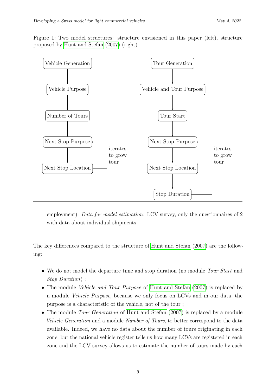Figure 1: Two model structures: structure envisioned in this paper (left), structure proposed by [Hunt and Stefan](#page-16-0) [\(2007\)](#page-16-0) (right).

<span id="page-10-0"></span>

employment). Data for model estimation: LCV survey, only the questionnaires of 2 with data about individual shipments.

The key differences compared to the structure of [Hunt and Stefan](#page-16-0) [\(2007\)](#page-16-0) are the following:

- We do not model the departure time and stop duration (no module Tour Start and Stop Duration) ;
- The module *Vehicle and Tour Purpose* of [Hunt and Stefan](#page-16-0) [\(2007\)](#page-16-0) is replaced by a module Vehicle Purpose, because we only focus on LCVs and in our data, the purpose is a characteristic of the vehicle, not of the tour ;
- The module *Tour Generation* of [Hunt and Stefan](#page-16-0) [\(2007\)](#page-16-0) is replaced by a module Vehicle Generation and a module Number of Tours, to better correspond to the data available. Indeed, we have no data about the number of tours originating in each zone, but the national vehicle register tells us how many LCVs are registered in each zone and the LCV survey allows us to estimate the number of tours made by each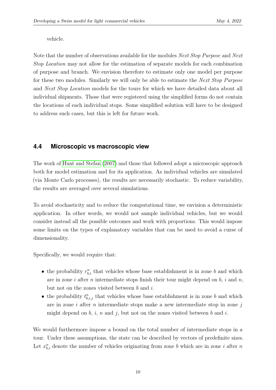vehicle.

Note that the number of observations available for the modules Next Stop Purpose and Next Stop Location may not allow for the estimation of separate models for each combination of purpose and branch. We envision therefore to estimate only one model per purpose for these two modules. Similarly we will only be able to estimate the *Next Stop Purpose* and Next Stop Location models for the tours for which we have detailed data about all individual shipments. Those that were registered using the simplified forms do not contain the locations of each individual stops. Some simplified solution will have to be designed to address such cases, but this is left for future work.

### <span id="page-11-0"></span>**4.4 Microscopic vs macroscopic view**

The work of [Hunt and Stefan](#page-16-0) [\(2007\)](#page-16-0) and those that followed adopt a microscopic approach both for model estimation and for its application. As individual vehicles are simulated (via Monte Carlo processes), the results are necessarily stochastic. To reduce variability, the results are averaged over several simulations.

To avoid stochasticity and to reduce the computational time, we envision a deterministic application. In other words, we would not sample individual vehicles, but we would consider instead all the possible outcomes and work with proportions. This would impose some limits on the types of explanatory variables that can be used to avoid a curse of dimensionality.

Specifically, we would require that:

- the probability  $r_{b,i}^n$  that vehicles whose base establishment is in zone b and which are in zone i after n intermediate stops finish their tour might depend on  $b, i$  and  $n$ , but not on the zones visited between  $b$  and  $i$ .
- the probability  $t_{b,i,j}^n$  that vehicles whose base establishment is in zone b and which are in zone  $i$  after  $n$  intermediate stops make a new intermediate stop in zone  $j$ might depend on b, i, n and j, but not on the zones visited between b and i.

We would furthermore impose a bound on the total number of intermediate stops in a tour. Under these assumptions, the state can be described by vectors of predefinite sizes. Let  $x_{b,i}^n$  denote the number of vehicles originating from zone b which are in zone i after n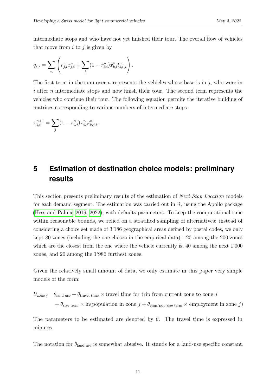intermediate stops and who have not yet finished their tour. The overall flow of vehicles that move from  $i$  to  $j$  is given by

$$
q_{i,j} = \sum_{n} \left( r_{j,i}^{n} x_{j,i}^{n} + \sum_{b} (1 - r_{b,i}^{n}) x_{b,i}^{n} t_{b,i,j}^{n} \right).
$$

The first term in the sum over n represents the vehicles whose base is in j, who were in i after *n* intermediate stops and now finish their tour. The second term represents the vehicles who continue their tour. The following equation permits the iterative building of matrices corresponding to various numbers of intermediate stops:

<span id="page-12-0"></span>
$$
x_{b,i}^{n+1} = \sum_j (1 - r_{b,j}^n) x_{b,j}^n t_{b,j,i}^n.
$$

# **5 Estimation of destination choice models: preliminary results**

This section presents preliminary results of the estimation of *Next Stop Location* models for each demand segment. The estimation was carried out in R, using the Apollo package [\(Hess and Palma, 2019,](#page-15-10) [2022\)](#page-15-11), with defaults parameters. To keep the computational time within reasonable bounds, we relied on a stratified sampling of alternatives: instead of considering a choice set made of 3'186 geographical areas defined by postal codes, we only kept 80 zones (including the one chosen in the empirical data) : 20 among the 200 zones which are the closest from the one where the vehicle currently is, 40 among the next 1'000 zones, and 20 among the 1'986 furthest zones.

Given the relatively small amount of data, we only estimate in this paper very simple models of the form:

 $U_{\text{zone }i} = \theta_{\text{land use}} + \theta_{\text{travel time}} \times$  travel time for trip from current zone to zone j +  $\theta_{\text{size term}} \times \ln(\text{population in zone } j + \theta_{\text{emp/pop size term}} \times \text{emplogment in zone } j)$ 

The parameters to be estimated are denoted by  $\theta$ . The travel time is expressed in minutes.

The notation for  $\theta_{\text{land use}}$  is somewhat abusive. It stands for a land-use specific constant.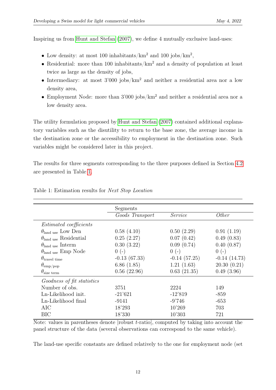Inspiring us from [Hunt and Stefan](#page-16-0) [\(2007\)](#page-16-0), we define 4 mutually exclusive land-uses:

- Low density: at most 100 inhabitants/ $\mathrm{km}^2$  and 100 jobs/ $\mathrm{km}^2$ ,
- Residential: more than 100 inhabitants/ $km^2$  and a density of population at least twice as large as the density of jobs,
- Intermediary: at most  $3'000$  jobs/ $km^2$  and neither a residential area nor a low density area,
- Employment Node: more than  $3'000$  jobs/ $km^2$  and neither a residential area nor a low density area.

The utility formulation proposed by [Hunt and Stefan](#page-16-0) [\(2007\)](#page-16-0) contained additional explanatory variables such as the disutility to return to the base zone, the average income in the destination zone or the accessibility to employment in the destination zone. Such variables might be considered later in this project.

The results for three segments corresponding to the three purposes defined in Section [4.2](#page-7-2) are presented in Table [1.](#page-13-0)

<span id="page-13-0"></span>

|                                 | Segments        |                |                |
|---------------------------------|-----------------|----------------|----------------|
|                                 | Goods Transport | Service        | <i>Other</i>   |
| <i>Estimated coefficients</i>   |                 |                |                |
| $\theta_{land use}$ Low Den     | 0.58(4.10)      | 0.50(2.29)     | 0.91(1.19)     |
| $\theta_{land use}$ Residential | 0.25(2.27)      | 0.07(0.42)     | 0.49(0.83)     |
| $\theta_{land use}$ Interm      | 0.30(3.22)      | 0.09(0.74)     | 0.40(0.87)     |
| $\theta_{land use}$ Emp Node    | $0(-)$          | $0(-)$         | $0(-)$         |
| $\theta_{\text{travel time}}$   | $-0.13(67.33)$  | $-0.14(57.25)$ | $-0.14(14.73)$ |
| $\theta_{\rm emp/pop}$          | 6.86(1.85)      | 1.21(1.63)     | 20.30(0.21)    |
| $\theta_{\text{size term}}$     | 0.56(22.96)     | 0.63(21.35)    | 0.49(3.96)     |
| Goodness of fit statistics      |                 |                |                |
| Number of obs.                  | 3751            | 2224           | 149            |
| Ln-Likelihood init.             | $-21'621$       | $-12'819$      | $-859$         |
| Ln-Likelihood final             | $-9141$         | $-9'746$       | $-653$         |
| AIC                             | 18'293          | 10'269         | 703            |
| BIC                             | 18'330          | 10'303         | 721            |
|                                 |                 |                |                |

### Table 1: Estimation results for Next Stop Location

Note: values in parentheses denote  $|$ robust  $t$ -ratio $|$ , computed by taking into account the panel structure of the data (several observations can correspond to the same vehicle).

The land-use specific constants are defined relatively to the one for employment node (set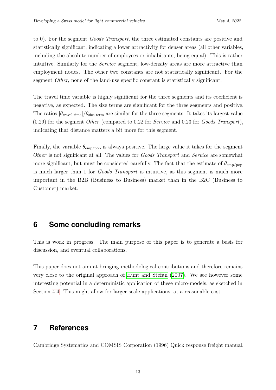to 0). For the segment Goods Transport, the three estimated constants are positive and statistically significant, indicating a lower attractivity for denser areas (all other variables, including the absolute number of employees or inhabitants, being equal). This is rather intuitive. Similarly for the *Service* segment, low-density areas are more attractive than employment nodes. The other two constants are not statistically significant. For the segment Other, none of the land-use specific constant is statistically significant.

The travel time variable is highly significant for the three segments and its coefficient is negative, as expected. The size terms are significant for the three segments and positive. The ratios  $|\theta_{\text{travel time}}|/\theta_{\text{size term}}$  are similar for the three segments. It takes its largest value  $(0.29)$  for the segment *Other* (compared to 0.22 for *Service* and 0.23 for *Goods Transport*), indicating that distance matters a bit more for this segment.

Finally, the variable  $\theta_{\text{emp/pop}}$  is always positive. The large value it takes for the segment Other is not significant at all. The values for *Goods Transport* and *Service* are somewhat more significant, but must be considered carefully. The fact that the estimate of  $\theta_{\rm emp/pop}$ is much larger than 1 for Goods Transport is intuitive, as this segment is much more important in the B2B (Business to Business) market than in the B2C (Business to Customer) market.

### **6 Some concluding remarks**

This is work in progress. The main purpose of this paper is to generate a basis for discussion, and eventual collaborations.

This paper does not aim at bringing methodological contributions and therefore remains very close to the original approach of [Hunt and Stefan](#page-16-0) [\(2007\)](#page-16-0). We see however some interesting potential in a deterministic application of these micro-models, as sketched in Section [4.4.](#page-11-0) This might allow for larger-scale applications, at a reasonable cost.

### **7 References**

<span id="page-14-0"></span>Cambridge Systematics and COMSIS Corporation (1996) Quick response freight manual.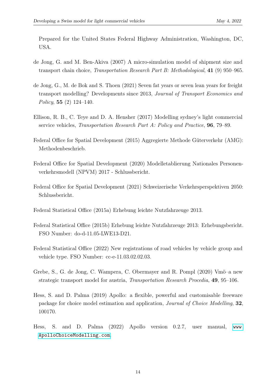Prepared for the United States Federal Highway Administration, Washington, DC, USA.

- <span id="page-15-7"></span>de Jong, G. and M. Ben-Akiva (2007) A micro-simulation model of shipment size and transport chain choice, Transportation Research Part B: Methodological, 41 (9) 950–965.
- <span id="page-15-5"></span>de Jong, G., M. de Bok and S. Thoen (2021) Seven fat years or seven lean years for freight transport modelling? Developments since 2013, Journal of Transport Economics and Policy, 55  $(2)$  124–140.
- <span id="page-15-6"></span>Ellison, R. B., C. Teye and D. A. Hensher (2017) Modelling sydney's light commercial service vehicles, Transportation Research Part A: Policy and Practice, 96, 79–89.
- <span id="page-15-4"></span>Federal Office for Spatial Development (2015) Aggregierte Methode Güterverkehr (AMG): Methodenbeschrieb.
- <span id="page-15-3"></span>Federal Office for Spatial Development (2020) Modelletablierung Nationales Personenverkehrsmodell (NPVM) 2017 - Schlussbericht.
- <span id="page-15-2"></span>Federal Office for Spatial Development (2021) Schweizerische Verkehrsperspektiven 2050: Schlussbericht.
- <span id="page-15-0"></span>Federal Statistical Office (2015a) Erhebung leichte Nutzfahrzeuge 2013.
- <span id="page-15-9"></span>Federal Statistical Office (2015b) Erhebung leichte Nutzfahrzeuge 2013: Erhebungsbericht. FSO Number: do-d-11.05-LWE13-D21.
- <span id="page-15-1"></span>Federal Statistical Office (2022) New registrations of road vehicles by vehicle group and vehicle type. FSO Number: cc-e-11.03.02.02.03.
- <span id="page-15-8"></span>Grebe, S., G. de Jong, C. Wampera, C. Obermayer and R. Pompl (2020) Vmö–a new strategic transport model for austria, Transportation Research Procedia, 49, 95–106.
- <span id="page-15-10"></span>Hess, S. and D. Palma (2019) Apollo: a flexible, powerful and customisable freeware package for choice model estimation and application, Journal of Choice Modelling, 32, 100170.
- <span id="page-15-11"></span>Hess, S. and D. Palma (2022) Apollo version 0.2.7, user manual, [www.](www.ApolloChoiceModelling.com) [ApolloChoiceModelling.com](www.ApolloChoiceModelling.com).